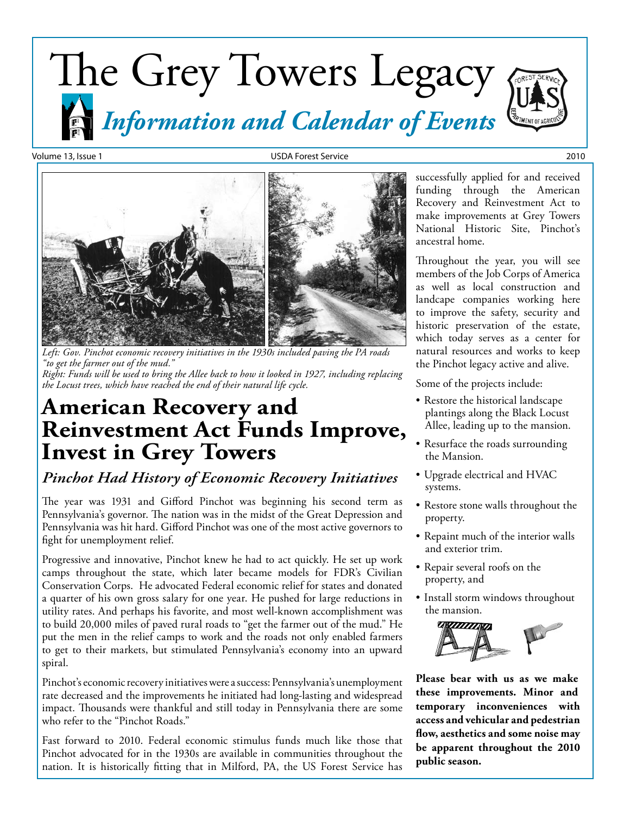# The Grey Towers Legacy *Information and Calendar of Events*

Volume 13, Issue 1 USDA Forest Service 2010



*Left: Gov. Pinchot economic recovery initiatives in the 1930s included paving the PA roads "to get the farmer out of the mud." Right: Funds will be used to bring the Allee back to how it looked in 1927, including replacing the Locust trees, which have reached the end of their natural life cycle.*

## **American Recovery and Reinvestment Act Funds Improve, Invest in Grey Towers**

### *Pinchot Had History of Economic Recovery Initiatives*

The year was 1931 and Gifford Pinchot was beginning his second term as Pennsylvania's governor. The nation was in the midst of the Great Depression and Pennsylvania was hit hard. Gifford Pinchot was one of the most active governors to fight for unemployment relief.

Progressive and innovative, Pinchot knew he had to act quickly. He set up work camps throughout the state, which later became models for FDR's Civilian Conservation Corps. He advocated Federal economic relief for states and donated a quarter of his own gross salary for one year. He pushed for large reductions in utility rates. And perhaps his favorite, and most well-known accomplishment was to build 20,000 miles of paved rural roads to "get the farmer out of the mud." He put the men in the relief camps to work and the roads not only enabled farmers to get to their markets, but stimulated Pennsylvania's economy into an upward spiral.

Pinchot's economic recovery initiatives were a success: Pennsylvania's unemployment rate decreased and the improvements he initiated had long-lasting and widespread impact. Thousands were thankful and still today in Pennsylvania there are some who refer to the "Pinchot Roads."

Fast forward to 2010. Federal economic stimulus funds much like those that Pinchot advocated for in the 1930s are available in communities throughout the nation. It is historically fitting that in Milford, PA, the US Forest Service has

successfully applied for and received funding through the American Recovery and Reinvestment Act to make improvements at Grey Towers National Historic Site, Pinchot's ancestral home.

Throughout the year, you will see members of the Job Corps of America as well as local construction and landcape companies working here to improve the safety, security and historic preservation of the estate, which today serves as a center for natural resources and works to keep the Pinchot legacy active and alive.

Some of the projects include:

- Restore the historical landscape plantings along the Black Locust Allee, leading up to the mansion.
- • Resurface the roads surrounding the Mansion.
- • Upgrade electrical and HVAC systems.
- Restore stone walls throughout the property.
- Repaint much of the interior walls and exterior trim.
- • Repair several roofs on the property, and
- Install storm windows throughout the mansion.



**Please bear with us as we make these improvements. Minor and temporary inconveniences with access and vehicular and pedestrian flow, aesthetics and some noise may be apparent throughout the 2010 public season.**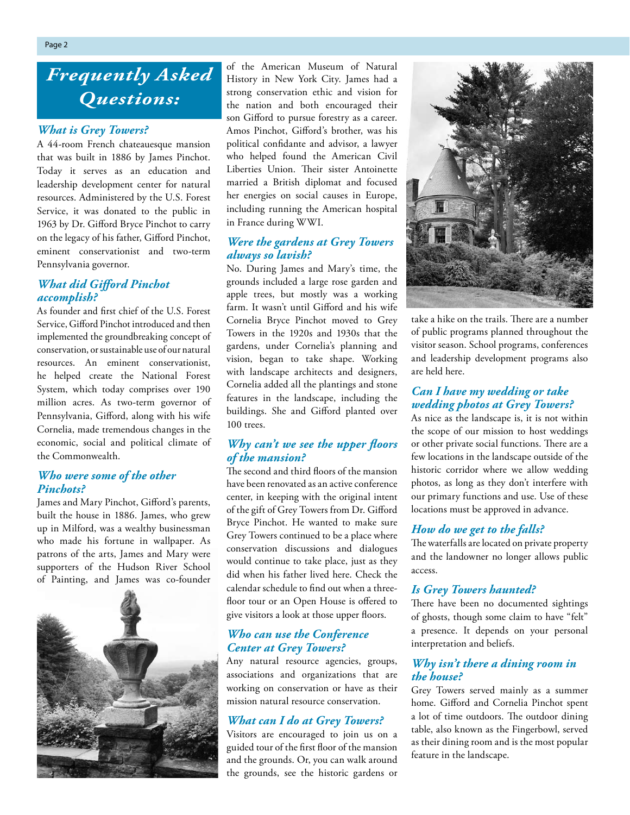## *Frequently Asked Questions:*

### *What is Grey Towers?*

A 44-room French chateauesque mansion that was built in 1886 by James Pinchot. Today it serves as an education and leadership development center for natural resources. Administered by the U.S. Forest Service, it was donated to the public in 1963 by Dr. Gifford Bryce Pinchot to carry on the legacy of his father, Gifford Pinchot, eminent conservationist and two-term Pennsylvania governor.

### *What did Gifford Pinchot accomplish?*

As founder and first chief of the U.S. Forest Service, Gifford Pinchot introduced and then implemented the groundbreaking concept of conservation, or sustainable use of our natural resources. An eminent conservationist, he helped create the National Forest System, which today comprises over 190 million acres. As two-term governor of Pennsylvania, Gifford, along with his wife Cornelia, made tremendous changes in the economic, social and political climate of the Commonwealth.

### *Who were some of the other Pinchots?*

James and Mary Pinchot, Gifford's parents, built the house in 1886. James, who grew up in Milford, was a wealthy businessman who made his fortune in wallpaper. As patrons of the arts, James and Mary were supporters of the Hudson River School of Painting, and James was co-founder



of the American Museum of Natural History in New York City. James had a strong conservation ethic and vision for the nation and both encouraged their son Gifford to pursue forestry as a career. Amos Pinchot, Gifford's brother, was his political confidante and advisor, a lawyer who helped found the American Civil Liberties Union. Their sister Antoinette married a British diplomat and focused her energies on social causes in Europe, including running the American hospital in France during WWI.

### *Were the gardens at Grey Towers always so lavish?*

No. During James and Mary's time, the grounds included a large rose garden and apple trees, but mostly was a working farm. It wasn't until Gifford and his wife Cornelia Bryce Pinchot moved to Grey Towers in the 1920s and 1930s that the gardens, under Cornelia's planning and vision, began to take shape. Working with landscape architects and designers, Cornelia added all the plantings and stone features in the landscape, including the buildings. She and Gifford planted over 100 trees.

### *Why can't we see the upper floors of the mansion?*

The second and third floors of the mansion have been renovated as an active conference center, in keeping with the original intent of the gift of Grey Towers from Dr. Gifford Bryce Pinchot. He wanted to make sure Grey Towers continued to be a place where conservation discussions and dialogues would continue to take place, just as they did when his father lived here. Check the calendar schedule to find out when a threefloor tour or an Open House is offered to give visitors a look at those upper floors.

### *Who can use the Conference Center at Grey Towers?*

Any natural resource agencies, groups, associations and organizations that are working on conservation or have as their mission natural resource conservation.

### *What can I do at Grey Towers?*

Visitors are encouraged to join us on a guided tour of the first floor of the mansion and the grounds. Or, you can walk around the grounds, see the historic gardens or



take a hike on the trails. There are a number of public programs planned throughout the visitor season. School programs, conferences and leadership development programs also are held here.

### *Can I have my wedding or take wedding photos at Grey Towers?*

As nice as the landscape is, it is not within the scope of our mission to host weddings or other private social functions. There are a few locations in the landscape outside of the historic corridor where we allow wedding photos, as long as they don't interfere with our primary functions and use. Use of these locations must be approved in advance.

#### *How do we get to the falls?*

The waterfalls are located on private property and the landowner no longer allows public access.

#### *Is Grey Towers haunted?*

There have been no documented sightings of ghosts, though some claim to have "felt" a presence. It depends on your personal interpretation and beliefs.

### *Why isn't there a dining room in the house?*

Grey Towers served mainly as a summer home. Gifford and Cornelia Pinchot spent a lot of time outdoors. The outdoor dining table, also known as the Fingerbowl, served as their dining room and is the most popular feature in the landscape.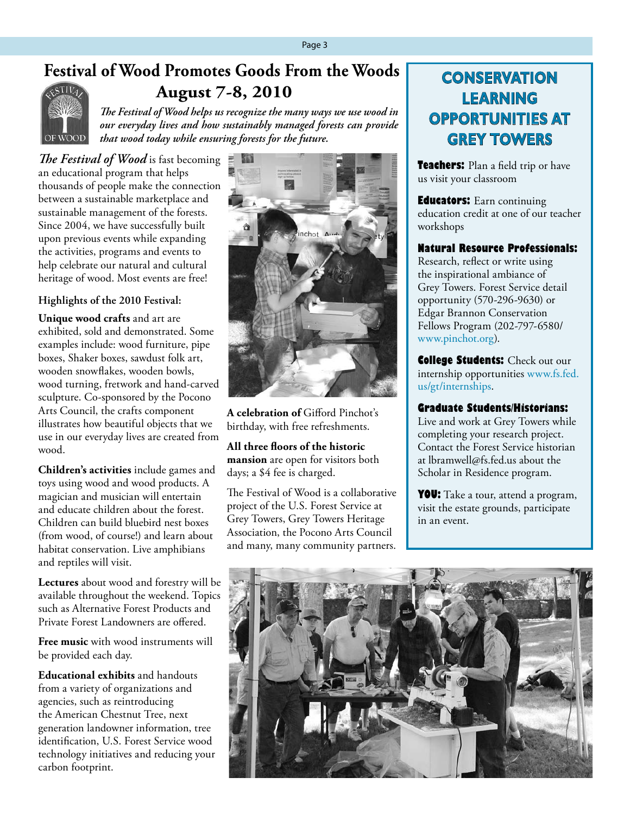## **Festival of Wood Promotes Goods From the Woods**



## **August 7-8, 2010**

*The Festival of Wood helps us recognize the many ways we use wood in our everyday lives and how sustainably managed forests can provide that wood today while ensuring forests for the future.*

*The Festival of Wood* is fast becoming an educational program that helps thousands of people make the connection between a sustainable marketplace and sustainable management of the forests. Since 2004, we have successfully built upon previous events while expanding the activities, programs and events to help celebrate our natural and cultural heritage of wood. Most events are free!

### **Highlights of the 2010 Festival:**

**Unique wood crafts** and art are exhibited, sold and demonstrated. Some examples include: wood furniture, pipe boxes, Shaker boxes, sawdust folk art, wooden snowflakes, wooden bowls, wood turning, fretwork and hand-carved sculpture. Co-sponsored by the Pocono Arts Council, the crafts component illustrates how beautiful objects that we use in our everyday lives are created from wood.

**Children's activities** include games and toys using wood and wood products. A magician and musician will entertain and educate children about the forest. Children can build bluebird nest boxes (from wood, of course!) and learn about habitat conservation. Live amphibians and reptiles will visit.

**Lectures** about wood and forestry will be available throughout the weekend. Topics such as Alternative Forest Products and Private Forest Landowners are offered.

**Free music** with wood instruments will be provided each day.

**Educational exhibits** and handouts from a variety of organizations and agencies, such as reintroducing the American Chestnut Tree, next generation landowner information, tree identification, U.S. Forest Service wood technology initiatives and reducing your carbon footprint.



**A celebration of** Gifford Pinchot's birthday, with free refreshments.

**All three floors of the historic mansion** are open for visitors both days; a \$4 fee is charged.

The Festival of Wood is a collaborative project of the U.S. Forest Service at Grey Towers, Grey Towers Heritage Association, the Pocono Arts Council and many, many community partners.

## **CONSERVATION LEARNING OPPORTUNITIES AT GREY TOWERS**

**Teachers:** Plan a field trip or have us visit your classroom

**Educators:** Earn continuing education credit at one of our teacher workshops

### **Natural Resource Professionals:**

Research, reflect or write using the inspirational ambiance of Grey Towers. Forest Service detail opportunity (570-296-9630) or Edgar Brannon Conservation Fellows Program (202-797-6580/ [www.pinchot.org](http://www.pinchot.org)).

**College Students: Check out our** internship opportunities [www.fs.fed.](http://www.fs.fed.us/gt/internships) [us/gt/internships.](http://www.fs.fed.us/gt/internships)

### **Graduate Students/Historians:**

Live and work at Grey Towers while completing your research project. Contact the Forest Service historian at [lbramwell@fs.fed.us](mailto:lbramwell@fs.fed.us) about the Scholar in Residence program.

**YOU:** Take a tour, attend a program, visit the estate grounds, participate in an event.

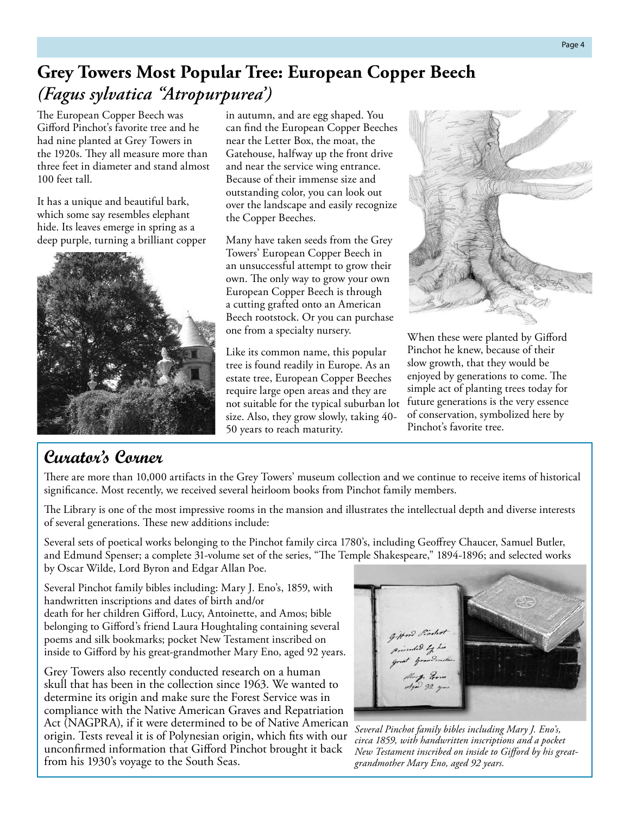## **Grey Towers Most Popular Tree: European Copper Beech** *(Fagus sylvatica "Atropurpurea')*

The European Copper Beech was Gifford Pinchot's favorite tree and he had nine planted at Grey Towers in the 1920s. They all measure more than three feet in diameter and stand almost 100 feet tall.

It has a unique and beautiful bark, which some say resembles elephant hide. Its leaves emerge in spring as a deep purple, turning a brilliant copper



### **Curator's Corner**

in autumn, and are egg shaped. You can find the European Copper Beeches near the Letter Box, the moat, the Gatehouse, halfway up the front drive and near the service wing entrance. Because of their immense size and outstanding color, you can look out over the landscape and easily recognize the Copper Beeches.

Many have taken seeds from the Grey Towers' European Copper Beech in an unsuccessful attempt to grow their own. The only way to grow your own European Copper Beech is through a cutting grafted onto an American Beech rootstock. Or you can purchase one from a specialty nursery.

Like its common name, this popular tree is found readily in Europe. As an estate tree, European Copper Beeches require large open areas and they are not suitable for the typical suburban lot size. Also, they grow slowly, taking 40- 50 years to reach maturity.



When these were planted by Gifford Pinchot he knew, because of their slow growth, that they would be enjoyed by generations to come. The simple act of planting trees today for future generations is the very essence of conservation, symbolized here by Pinchot's favorite tree.

There are more than 10,000 artifacts in the Grey Towers' museum collection and we continue to receive items of historical significance. Most recently, we received several heirloom books from Pinchot family members.

The Library is one of the most impressive rooms in the mansion and illustrates the intellectual depth and diverse interests of several generations. These new additions include:

Several sets of poetical works belonging to the Pinchot family circa 1780's, including Geoffrey Chaucer, Samuel Butler, and Edmund Spenser; a complete 31-volume set of the series, "The Temple Shakespeare," 1894-1896; and selected works by Oscar Wilde, Lord Byron and Edgar Allan Poe.

Several Pinchot family bibles including: Mary J. Eno's, 1859, with handwritten inscriptions and dates of birth and/or death for her children Gifford, Lucy, Antoinette, and Amos; bible belonging to Gifford's friend Laura Houghtaling containing several poems and silk bookmarks; pocket New Testament inscribed on inside to Gifford by his great-grandmother Mary Eno, aged 92 years.

Grey Towers also recently conducted research on a human skull that has been in the collection since 1963. We wanted to determine its origin and make sure the Forest Service was in compliance with the Native American Graves and Repatriation Act (NAGPRA), if it were determined to be of Native American origin. Tests reveal it is of Polynesian origin, which fits with our unconfirmed information that Gifford Pinchot brought it back from his 1930's voyage to the South Seas.



*Several Pinchot family bibles including Mary J. Eno's, circa 1859, with handwritten inscriptions and a pocket New Testament inscribed on inside to Gifford by his greatgrandmother Mary Eno, aged 92 years.*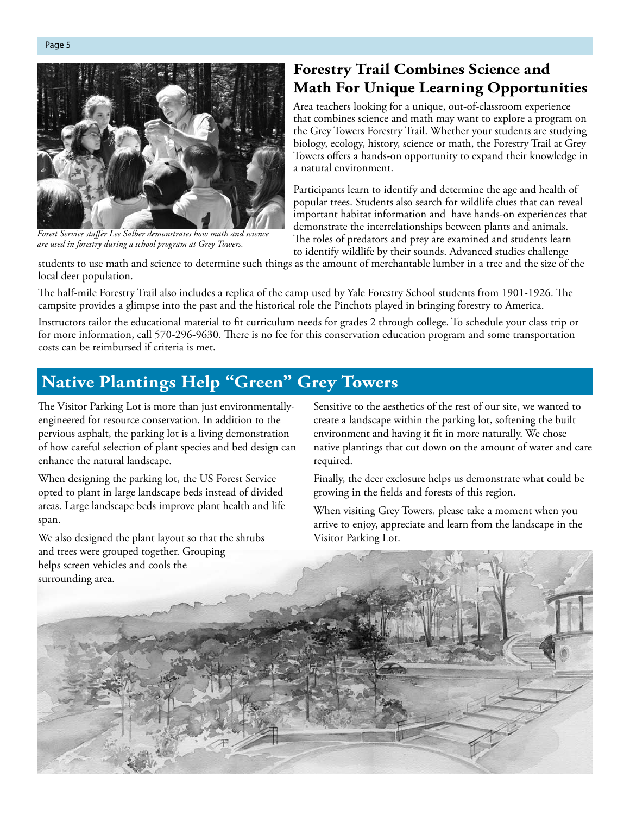

*Forest Service staffer Lee Salber demonstrates how math and science are used in forestry during a school program at Grey Towers.* 

### **Forestry Trail Combines Science and Math For Unique Learning Opportunities**

Area teachers looking for a unique, out-of-classroom experience that combines science and math may want to explore a program on the Grey Towers Forestry Trail. Whether your students are studying biology, ecology, history, science or math, the Forestry Trail at Grey Towers offers a hands-on opportunity to expand their knowledge in a natural environment.

Participants learn to identify and determine the age and health of popular trees. Students also search for wildlife clues that can reveal important habitat information and have hands-on experiences that demonstrate the interrelationships between plants and animals. The roles of predators and prey are examined and students learn to identify wildlife by their sounds. Advanced studies challenge

students to use math and science to determine such things as the amount of merchantable lumber in a tree and the size of the local deer population.

The half-mile Forestry Trail also includes a replica of the camp used by Yale Forestry School students from 1901-1926. The campsite provides a glimpse into the past and the historical role the Pinchots played in bringing forestry to America.

Instructors tailor the educational material to fit curriculum needs for grades 2 through college. To schedule your class trip or for more information, call 570-296-9630. There is no fee for this conservation education program and some transportation costs can be reimbursed if criteria is met.

## **Native Plantings Help "Green" Grey Towers**

The Visitor Parking Lot is more than just environmentallyengineered for resource conservation. In addition to the pervious asphalt, the parking lot is a living demonstration of how careful selection of plant species and bed design can enhance the natural landscape.

When designing the parking lot, the US Forest Service opted to plant in large landscape beds instead of divided areas. Large landscape beds improve plant health and life span.

We also designed the plant layout so that the shrubs and trees were grouped together. Grouping helps screen vehicles and cools the

Sensitive to the aesthetics of the rest of our site, we wanted to create a landscape within the parking lot, softening the built environment and having it fit in more naturally. We chose native plantings that cut down on the amount of water and care required.

Finally, the deer exclosure helps us demonstrate what could be growing in the fields and forests of this region.

When visiting Grey Towers, please take a moment when you arrive to enjoy, appreciate and learn from the landscape in the Visitor Parking Lot.